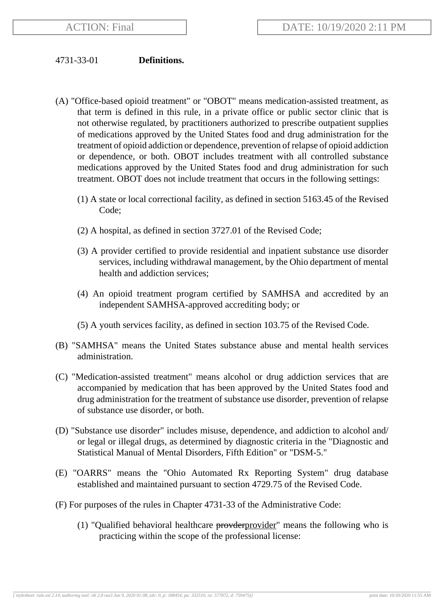## 4731-33-01 **Definitions.**

- (A) "Office-based opioid treatment" or "OBOT" means medication-assisted treatment, as that term is defined in this rule, in a private office or public sector clinic that is not otherwise regulated, by practitioners authorized to prescribe outpatient supplies of medications approved by the United States food and drug administration for the treatment of opioid addiction or dependence, prevention of relapse of opioid addiction or dependence, or both. OBOT includes treatment with all controlled substance medications approved by the United States food and drug administration for such treatment. OBOT does not include treatment that occurs in the following settings:
	- (1) A state or local correctional facility, as defined in section 5163.45 of the Revised Code;
	- (2) A hospital, as defined in section 3727.01 of the Revised Code;
	- (3) A provider certified to provide residential and inpatient substance use disorder services, including withdrawal management, by the Ohio department of mental health and addiction services;
	- (4) An opioid treatment program certified by SAMHSA and accredited by an independent SAMHSA-approved accrediting body; or
	- (5) A youth services facility, as defined in section 103.75 of the Revised Code.
- (B) "SAMHSA" means the United States substance abuse and mental health services administration.
- (C) "Medication-assisted treatment" means alcohol or drug addiction services that are accompanied by medication that has been approved by the United States food and drug administration for the treatment of substance use disorder, prevention of relapse of substance use disorder, or both.
- (D) "Substance use disorder" includes misuse, dependence, and addiction to alcohol and/ or legal or illegal drugs, as determined by diagnostic criteria in the "Diagnostic and Statistical Manual of Mental Disorders, Fifth Edition" or "DSM-5."
- (E) "OARRS" means the "Ohio Automated Rx Reporting System" drug database established and maintained pursuant to section 4729.75 of the Revised Code.
- (F) For purposes of the rules in Chapter 4731-33 of the Administrative Code:
	- (1) "Qualified behavioral healthcare  $provderprovider$ " means the following who is practicing within the scope of the professional license: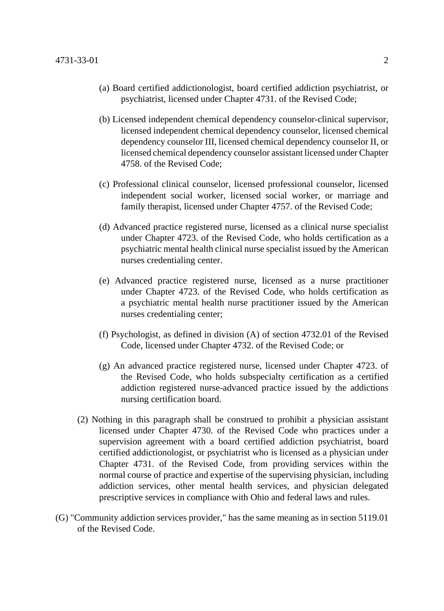- (a) Board certified addictionologist, board certified addiction psychiatrist, or psychiatrist, licensed under Chapter 4731. of the Revised Code;
- (b) Licensed independent chemical dependency counselor-clinical supervisor, licensed independent chemical dependency counselor, licensed chemical dependency counselor III, licensed chemical dependency counselor II, or licensed chemical dependency counselor assistant licensed under Chapter 4758. of the Revised Code;
- (c) Professional clinical counselor, licensed professional counselor, licensed independent social worker, licensed social worker, or marriage and family therapist, licensed under Chapter 4757. of the Revised Code;
- (d) Advanced practice registered nurse, licensed as a clinical nurse specialist under Chapter 4723. of the Revised Code, who holds certification as a psychiatric mental health clinical nurse specialist issued by the American nurses credentialing center.
- (e) Advanced practice registered nurse, licensed as a nurse practitioner under Chapter 4723. of the Revised Code, who holds certification as a psychiatric mental health nurse practitioner issued by the American nurses credentialing center;
- (f) Psychologist, as defined in division (A) of section 4732.01 of the Revised Code, licensed under Chapter 4732. of the Revised Code; or
- (g) An advanced practice registered nurse, licensed under Chapter 4723. of the Revised Code, who holds subspecialty certification as a certified addiction registered nurse-advanced practice issued by the addictions nursing certification board.
- (2) Nothing in this paragraph shall be construed to prohibit a physician assistant licensed under Chapter 4730. of the Revised Code who practices under a supervision agreement with a board certified addiction psychiatrist, board certified addictionologist, or psychiatrist who is licensed as a physician under Chapter 4731. of the Revised Code, from providing services within the normal course of practice and expertise of the supervising physician, including addiction services, other mental health services, and physician delegated prescriptive services in compliance with Ohio and federal laws and rules.
- (G) "Community addiction services provider," has the same meaning as in section 5119.01 of the Revised Code.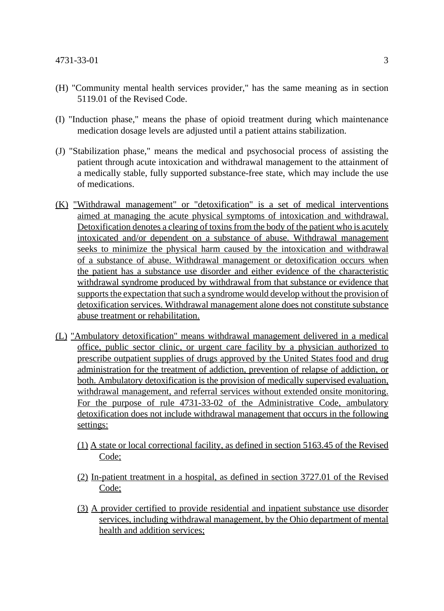- (H) "Community mental health services provider," has the same meaning as in section 5119.01 of the Revised Code.
- (I) "Induction phase," means the phase of opioid treatment during which maintenance medication dosage levels are adjusted until a patient attains stabilization.
- (J) "Stabilization phase," means the medical and psychosocial process of assisting the patient through acute intoxication and withdrawal management to the attainment of a medically stable, fully supported substance-free state, which may include the use of medications.
- (K) "Withdrawal management" or "detoxification" is a set of medical interventions aimed at managing the acute physical symptoms of intoxication and withdrawal. Detoxification denotes a clearing of toxins from the body of the patient who is acutely intoxicated and/or dependent on a substance of abuse. Withdrawal management seeks to minimize the physical harm caused by the intoxication and withdrawal of a substance of abuse. Withdrawal management or detoxification occurs when the patient has a substance use disorder and either evidence of the characteristic withdrawal syndrome produced by withdrawal from that substance or evidence that supports the expectation that such a syndrome would develop without the provision of detoxification services. Withdrawal management alone does not constitute substance abuse treatment or rehabilitation.
- (L) "Ambulatory detoxification" means withdrawal management delivered in a medical office, public sector clinic, or urgent care facility by a physician authorized to prescribe outpatient supplies of drugs approved by the United States food and drug administration for the treatment of addiction, prevention of relapse of addiction, or both. Ambulatory detoxification is the provision of medically supervised evaluation, withdrawal management, and referral services without extended onsite monitoring. For the purpose of rule 4731-33-02 of the Administrative Code, ambulatory detoxification does not include withdrawal management that occurs in the following settings:
	- (1) A state or local correctional facility, as defined in section 5163.45 of the Revised Code;
	- (2) In-patient treatment in a hospital, as defined in section 3727.01 of the Revised Code;
	- (3) A provider certified to provide residential and inpatient substance use disorder services, including withdrawal management, by the Ohio department of mental health and addition services;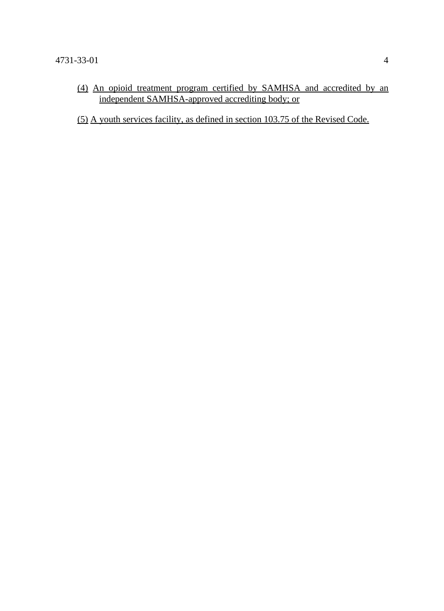(4) An opioid treatment program certified by SAMHSA and accredited by an independent SAMHSA-approved accrediting body; or

(5) A youth services facility, as defined in section 103.75 of the Revised Code.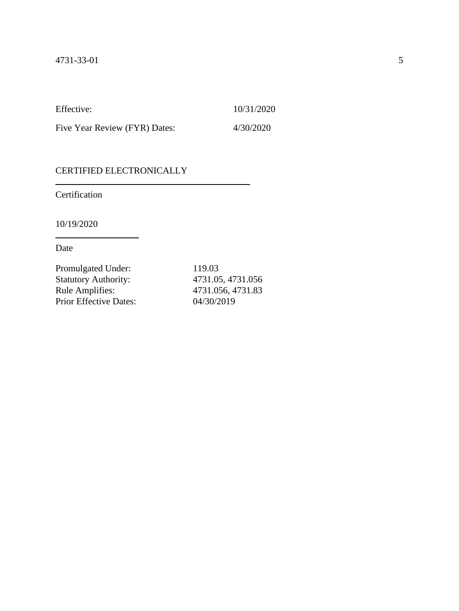Effective: 10/31/2020

Five Year Review (FYR) Dates: 4/30/2020

## CERTIFIED ELECTRONICALLY

Certification

10/19/2020

Date

| Promulgated Under:            | 119.03            |
|-------------------------------|-------------------|
| <b>Statutory Authority:</b>   | 4731.05, 4731.056 |
| Rule Amplifies:               | 4731.056, 4731.83 |
| <b>Prior Effective Dates:</b> | 04/30/2019        |
|                               |                   |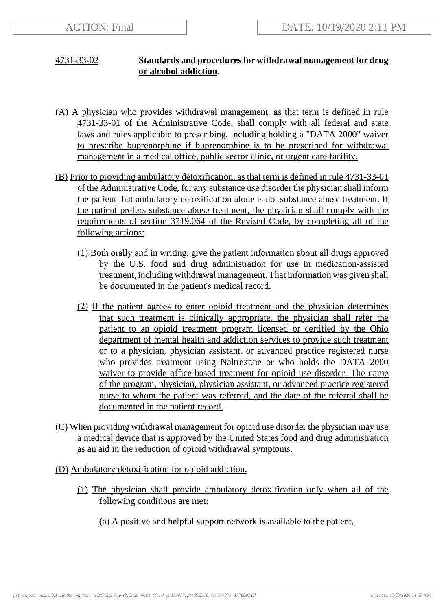## 4731-33-02 **Standards and procedures for withdrawal management for drug or alcohol addiction.**

- (A) A physician who provides withdrawal management, as that term is defined in rule 4731-33-01 of the Administrative Code, shall comply with all federal and state laws and rules applicable to prescribing, including holding a "DATA 2000" waiver to prescribe buprenorphine if buprenorphine is to be prescribed for withdrawal management in a medical office, public sector clinic, or urgent care facility.
- (B) Prior to providing ambulatory detoxification, as that term is defined in rule 4731-33-01 of the Administrative Code, for any substance use disorder the physician shall inform the patient that ambulatory detoxification alone is not substance abuse treatment. If the patient prefers substance abuse treatment, the physician shall comply with the requirements of section 3719.064 of the Revised Code, by completing all of the following actions:
	- (1) Both orally and in writing, give the patient information about all drugs approved by the U.S. food and drug administration for use in medication-assisted treatment, including withdrawal management. That information was given shall be documented in the patient's medical record.
	- (2) If the patient agrees to enter opioid treatment and the physician determines that such treatment is clinically appropriate, the physician shall refer the patient to an opioid treatment program licensed or certified by the Ohio department of mental health and addiction services to provide such treatment or to a physician, physician assistant, or advanced practice registered nurse who provides treatment using Naltrexone or who holds the DATA 2000 waiver to provide office-based treatment for opioid use disorder. The name of the program, physician, physician assistant, or advanced practice registered nurse to whom the patient was referred, and the date of the referral shall be documented in the patient record.
- (C) When providing withdrawal management for opioid use disorder the physician may use a medical device that is approved by the United States food and drug administration as an aid in the reduction of opioid withdrawal symptoms.
- (D) Ambulatory detoxification for opioid addiction.
	- (1) The physician shall provide ambulatory detoxification only when all of the following conditions are met:
		- (a) A positive and helpful support network is available to the patient.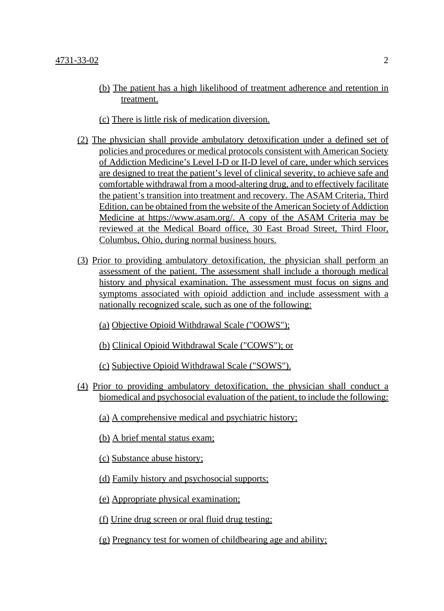- (b) The patient has a high likelihood of treatment adherence and retention in treatment.
- (c) There is little risk of medication diversion.
- (2) The physician shall provide ambulatory detoxification under a defined set of policies and procedures or medical protocols consistent with American Society of Addiction Medicine's Level I-D or II-D level of care, under which services are designed to treat the patient's level of clinical severity, to achieve safe and comfortable withdrawal from a mood-altering drug, and to effectively facilitate the patient's transition into treatment and recovery. The ASAM Criteria, Third Edition, can be obtained from the website of the American Society of Addiction Medicine at https://www.asam.org/. A copy of the ASAM Criteria may be reviewed at the Medical Board office, 30 East Broad Street, Third Floor, Columbus, Ohio, during normal business hours.
- (3) Prior to providing ambulatory detoxification, the physician shall perform an assessment of the patient. The assessment shall include a thorough medical history and physical examination. The assessment must focus on signs and symptoms associated with opioid addiction and include assessment with a nationally recognized scale, such as one of the following:
	- (a) Objective Opioid Withdrawal Scale ("OOWS");
	- (b) Clinical Opioid Withdrawal Scale ("COWS"); or
	- (c) Subjective Opioid Withdrawal Scale ("SOWS").
- (4) Prior to providing ambulatory detoxification, the physician shall conduct a biomedical and psychosocial evaluation of the patient, to include the following:
	- (a) A comprehensive medical and psychiatric history;
	- (b) A brief mental status exam;
	- (c) Substance abuse history;
	- (d) Family history and psychosocial supports;
	- (e) Appropriate physical examination;
	- (f) Urine drug screen or oral fluid drug testing;
	- (g) Pregnancy test for women of childbearing age and ability;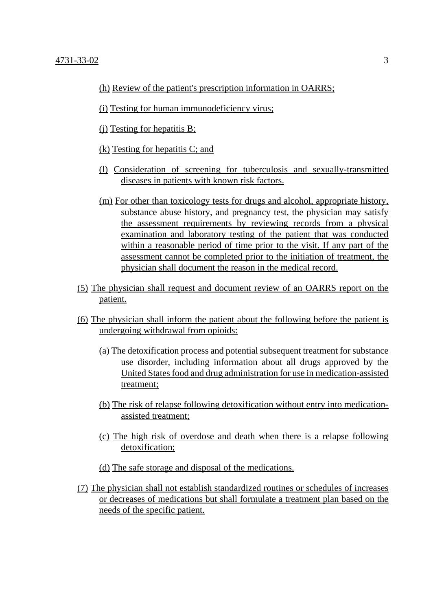- (h) Review of the patient's prescription information in OARRS;
- (i) Testing for human immunodeficiency virus;
- (j) Testing for hepatitis B;
- (k) Testing for hepatitis C; and
- (l) Consideration of screening for tuberculosis and sexually-transmitted diseases in patients with known risk factors.
- (m) For other than toxicology tests for drugs and alcohol, appropriate history, substance abuse history, and pregnancy test, the physician may satisfy the assessment requirements by reviewing records from a physical examination and laboratory testing of the patient that was conducted within a reasonable period of time prior to the visit. If any part of the assessment cannot be completed prior to the initiation of treatment, the physician shall document the reason in the medical record.
- (5) The physician shall request and document review of an OARRS report on the patient.
- (6) The physician shall inform the patient about the following before the patient is undergoing withdrawal from opioids:
	- (a) The detoxification process and potential subsequent treatment for substance use disorder, including information about all drugs approved by the United States food and drug administration for use in medication-assisted treatment;
	- (b) The risk of relapse following detoxification without entry into medicationassisted treatment;
	- (c) The high risk of overdose and death when there is a relapse following detoxification;
	- (d) The safe storage and disposal of the medications.
- (7) The physician shall not establish standardized routines or schedules of increases or decreases of medications but shall formulate a treatment plan based on the needs of the specific patient.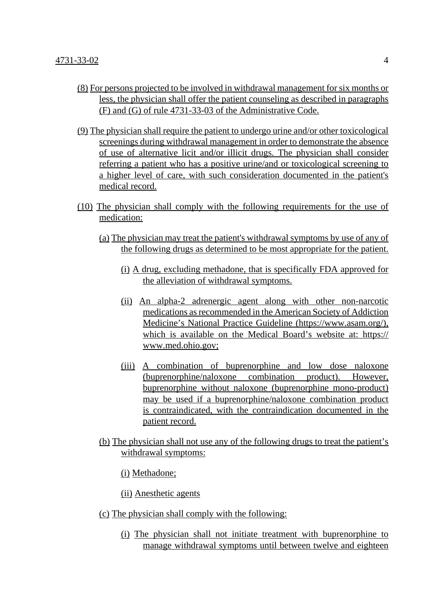- (8) For persons projected to be involved in withdrawal management for six months or less, the physician shall offer the patient counseling as described in paragraphs (F) and (G) of rule 4731-33-03 of the Administrative Code.
- (9) The physician shall require the patient to undergo urine and/or other toxicological screenings during withdrawal management in order to demonstrate the absence of use of alternative licit and/or illicit drugs. The physician shall consider referring a patient who has a positive urine/and or toxicological screening to a higher level of care, with such consideration documented in the patient's medical record.
- (10) The physician shall comply with the following requirements for the use of medication:
	- (a) The physician may treat the patient's withdrawal symptoms by use of any of the following drugs as determined to be most appropriate for the patient.
		- (i) A drug, excluding methadone, that is specifically FDA approved for the alleviation of withdrawal symptoms.
		- (ii) An alpha-2 adrenergic agent along with other non-narcotic medications as recommended in the American Society of Addiction Medicine's National Practice Guideline (https://www.asam.org/), which is available on the Medical Board's website at: https:// www.med.ohio.gov;
		- (iii) A combination of buprenorphine and low dose naloxone (buprenorphine/naloxone combination product). However, buprenorphine without naloxone (buprenorphine mono-product) may be used if a buprenorphine/naloxone combination product is contraindicated, with the contraindication documented in the patient record.
	- (b) The physician shall not use any of the following drugs to treat the patient's withdrawal symptoms:

(i) Methadone;

(ii) Anesthetic agents

- (c) The physician shall comply with the following:
	- (i) The physician shall not initiate treatment with buprenorphine to manage withdrawal symptoms until between twelve and eighteen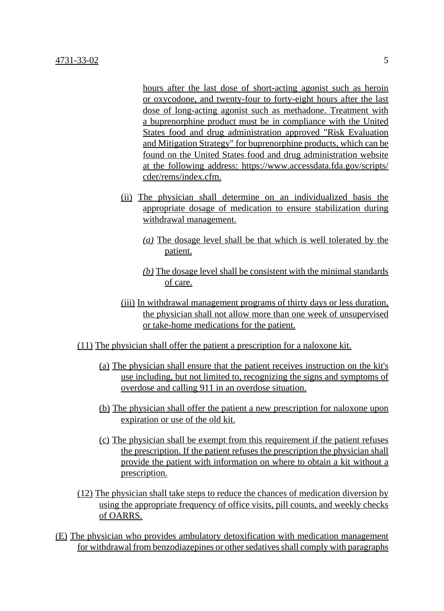hours after the last dose of short-acting agonist such as heroin or oxycodone, and twenty-four to forty-eight hours after the last dose of long-acting agonist such as methadone. Treatment with a buprenorphine product must be in compliance with the United States food and drug administration approved "Risk Evaluation and Mitigation Strategy" for buprenorphine products, which can be found on the United States food and drug administration website at the following address: https://www.accessdata.fda.gov/scripts/ cder/rems/index.cfm.

- (ii) The physician shall determine on an individualized basis the appropriate dosage of medication to ensure stabilization during withdrawal management.
	- *(a)* The dosage level shall be that which is well tolerated by the patient.
	- *(b)* The dosage level shall be consistent with the minimal standards of care.
- (iii) In withdrawal management programs of thirty days or less duration, the physician shall not allow more than one week of unsupervised or take-home medications for the patient.
- (11) The physician shall offer the patient a prescription for a naloxone kit.
	- (a) The physician shall ensure that the patient receives instruction on the kit's use including, but not limited to, recognizing the signs and symptoms of overdose and calling 911 in an overdose situation.
	- (b) The physician shall offer the patient a new prescription for naloxone upon expiration or use of the old kit.
	- (c) The physician shall be exempt from this requirement if the patient refuses the prescription. If the patient refuses the prescription the physician shall provide the patient with information on where to obtain a kit without a prescription.
- (12) The physician shall take steps to reduce the chances of medication diversion by using the appropriate frequency of office visits, pill counts, and weekly checks of OARRS.
- (E) The physician who provides ambulatory detoxification with medication management for withdrawal from benzodiazepines or other sedatives shall comply with paragraphs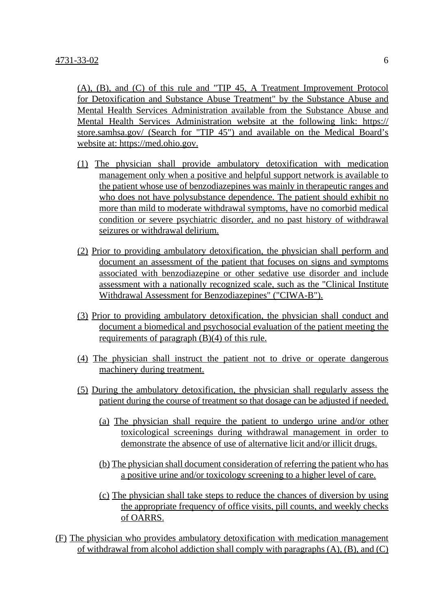(A), (B), and (C) of this rule and "TIP 45, A Treatment Improvement Protocol for Detoxification and Substance Abuse Treatment" by the Substance Abuse and Mental Health Services Administration available from the Substance Abuse and Mental Health Services Administration website at the following link: https:// store.samhsa.gov/ (Search for "TIP 45") and available on the Medical Board's website at: https://med.ohio.gov.

- (1) The physician shall provide ambulatory detoxification with medication management only when a positive and helpful support network is available to the patient whose use of benzodiazepines was mainly in therapeutic ranges and who does not have polysubstance dependence. The patient should exhibit no more than mild to moderate withdrawal symptoms, have no comorbid medical condition or severe psychiatric disorder, and no past history of withdrawal seizures or withdrawal delirium.
- (2) Prior to providing ambulatory detoxification, the physician shall perform and document an assessment of the patient that focuses on signs and symptoms associated with benzodiazepine or other sedative use disorder and include assessment with a nationally recognized scale, such as the "Clinical Institute Withdrawal Assessment for Benzodiazepines" ("CIWA-B").
- (3) Prior to providing ambulatory detoxification, the physician shall conduct and document a biomedical and psychosocial evaluation of the patient meeting the requirements of paragraph (B)(4) of this rule.
- (4) The physician shall instruct the patient not to drive or operate dangerous machinery during treatment.
- (5) During the ambulatory detoxification, the physician shall regularly assess the patient during the course of treatment so that dosage can be adjusted if needed.
	- (a) The physician shall require the patient to undergo urine and/or other toxicological screenings during withdrawal management in order to demonstrate the absence of use of alternative licit and/or illicit drugs.
	- (b) The physician shall document consideration of referring the patient who has a positive urine and/or toxicology screening to a higher level of care.
	- (c) The physician shall take steps to reduce the chances of diversion by using the appropriate frequency of office visits, pill counts, and weekly checks of OARRS.
- (F) The physician who provides ambulatory detoxification with medication management of withdrawal from alcohol addiction shall comply with paragraphs (A), (B), and (C)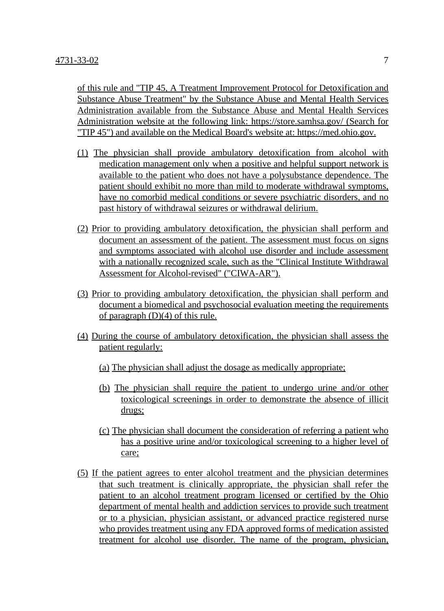of this rule and "TIP 45, A Treatment Improvement Protocol for Detoxification and Substance Abuse Treatment" by the Substance Abuse and Mental Health Services Administration available from the Substance Abuse and Mental Health Services Administration website at the following link: https://store.samhsa.gov/ (Search for "TIP 45") and available on the Medical Board's website at: https://med.ohio.gov.

- (1) The physician shall provide ambulatory detoxification from alcohol with medication management only when a positive and helpful support network is available to the patient who does not have a polysubstance dependence. The patient should exhibit no more than mild to moderate withdrawal symptoms, have no comorbid medical conditions or severe psychiatric disorders, and no past history of withdrawal seizures or withdrawal delirium.
- (2) Prior to providing ambulatory detoxification, the physician shall perform and document an assessment of the patient. The assessment must focus on signs and symptoms associated with alcohol use disorder and include assessment with a nationally recognized scale, such as the "Clinical Institute Withdrawal Assessment for Alcohol-revised" ("CIWA-AR").
- (3) Prior to providing ambulatory detoxification, the physician shall perform and document a biomedical and psychosocial evaluation meeting the requirements of paragraph  $(D)(4)$  of this rule.
- (4) During the course of ambulatory detoxification, the physician shall assess the patient regularly:
	- (a) The physician shall adjust the dosage as medically appropriate;
	- (b) The physician shall require the patient to undergo urine and/or other toxicological screenings in order to demonstrate the absence of illicit drugs;
	- (c) The physician shall document the consideration of referring a patient who has a positive urine and/or toxicological screening to a higher level of care;
- (5) If the patient agrees to enter alcohol treatment and the physician determines that such treatment is clinically appropriate, the physician shall refer the patient to an alcohol treatment program licensed or certified by the Ohio department of mental health and addiction services to provide such treatment or to a physician, physician assistant, or advanced practice registered nurse who provides treatment using any FDA approved forms of medication assisted treatment for alcohol use disorder. The name of the program, physician,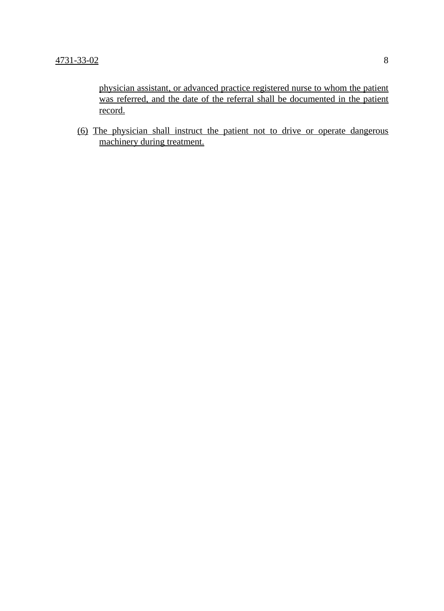physician assistant, or advanced practice registered nurse to whom the patient was referred, and the date of the referral shall be documented in the patient record.

(6) The physician shall instruct the patient not to drive or operate dangerous machinery during treatment.